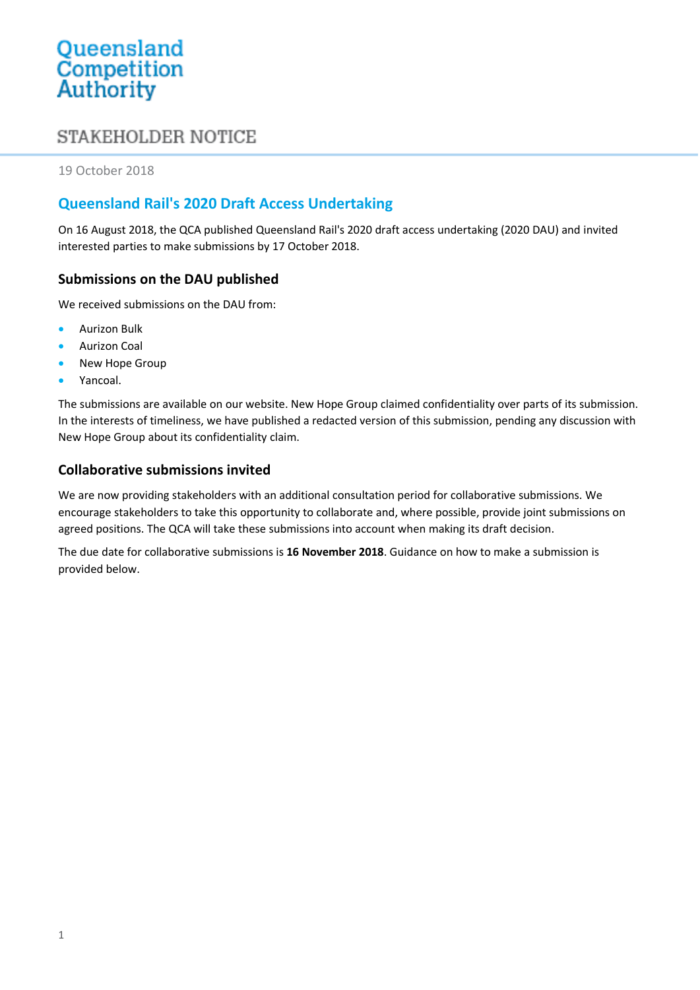# Queensland<br>Competition Authority

## **STAKEHOLDER NOTICE**

19 October 2018

### **Queensland Rail's 2020 Draft Access Undertaking**

On 16 August 2018, the QCA published Queensland Rail's 2020 draft access undertaking (2020 DAU) and invited interested parties to make submissions by 17 October 2018.

#### **Submissions on the DAU published**

We received submissions on the DAU from:

- Aurizon Bulk
- Aurizon Coal
- New Hope Group
- Yancoal.

The submissions are available on our website. New Hope Group claimed confidentiality over parts of its submission. In the interests of timeliness, we have published a redacted version of this submission, pending any discussion with New Hope Group about its confidentiality claim.

#### **Collaborative submissions invited**

We are now providing stakeholders with an additional consultation period for collaborative submissions. We encourage stakeholders to take this opportunity to collaborate and, where possible, provide joint submissions on agreed positions. The QCA will take these submissions into account when making its draft decision.

The due date for collaborative submissions is **16 November 2018**. Guidance on how to make a submission is provided below.